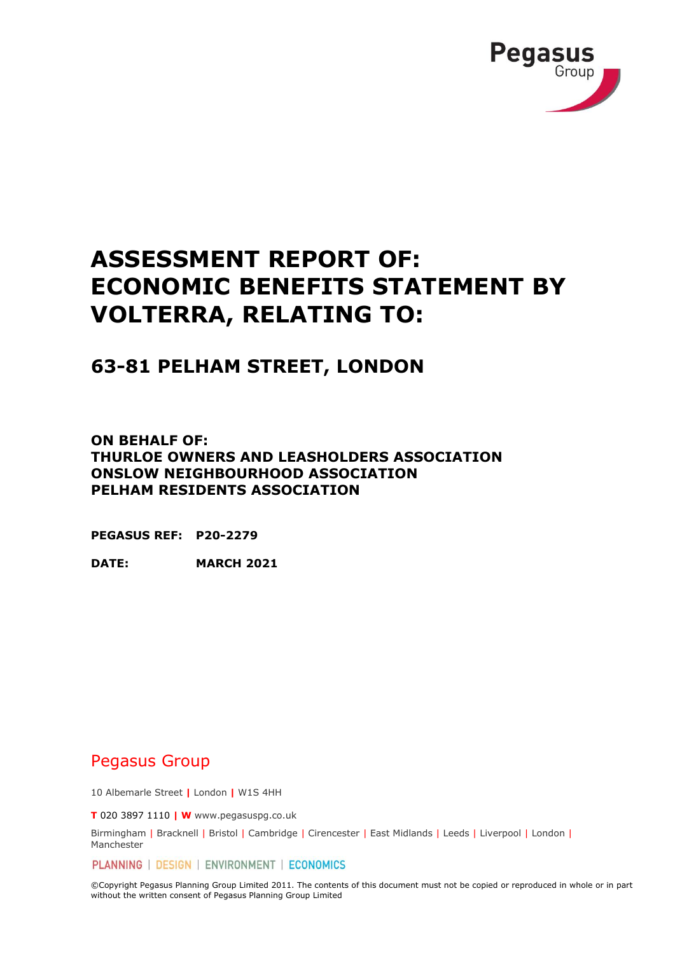

# **ASSESSMENT REPORT OF: ECONOMIC BENEFITS STATEMENT BY VOLTERRA, RELATING TO:**

## **63-81 PELHAM STREET, LONDON**

**ON BEHALF OF: THURLOE OWNERS AND LEASHOLDERS ASSOCIATION ONSLOW NEIGHBOURHOOD ASSOCIATION PELHAM RESIDENTS ASSOCIATION** 

**PEGASUS REF: P20-2279**

**DATE: MARCH 2021**

### Pegasus Group

10 Albemarle Street **|** London **|** W1S 4HH

**T** 020 3897 1110 **| W** www.pegasuspg.co.uk

Birmingham | Bracknell | Bristol | Cambridge | Cirencester | East Midlands | Leeds | Liverpool | London | Manchester

PLANNING | DESIGN | ENVIRONMENT | ECONOMICS

©Copyright Pegasus Planning Group Limited 2011. The contents of this document must not be copied or reproduced in whole or in part without the written consent of Pegasus Planning Group Limited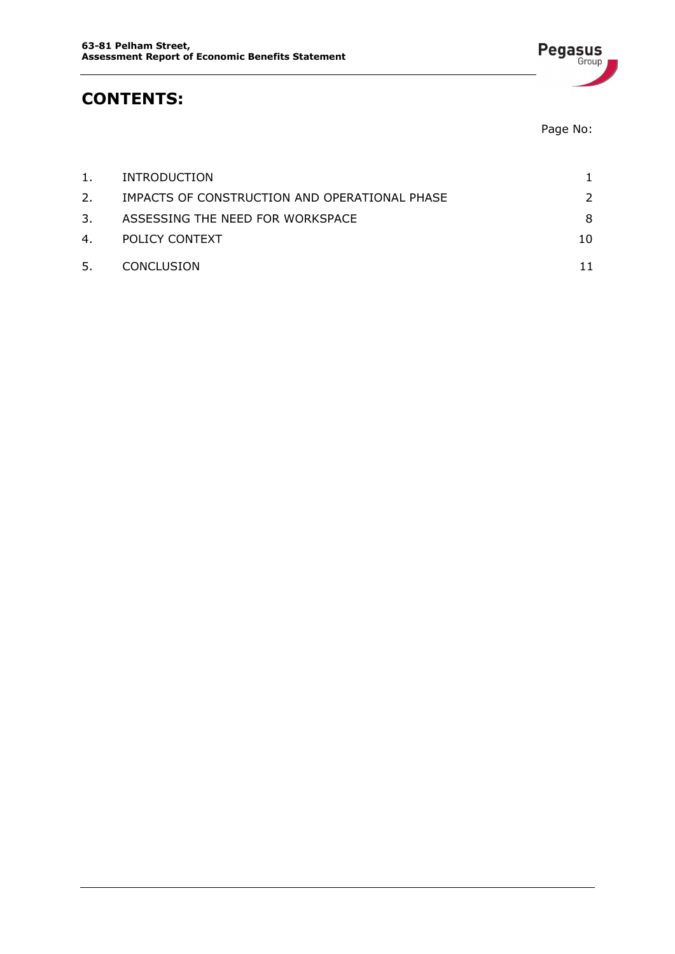

Page No:

**Pegasus** 

| 1. | INTRODUCTION                                  |               |
|----|-----------------------------------------------|---------------|
| 2. | IMPACTS OF CONSTRUCTION AND OPERATIONAL PHASE | $\mathcal{P}$ |
| 3. | ASSESSING THE NEED FOR WORKSPACE              | 8             |
| 4. | POLICY CONTEXT                                | 10            |
| 5. | CONCLUSION                                    |               |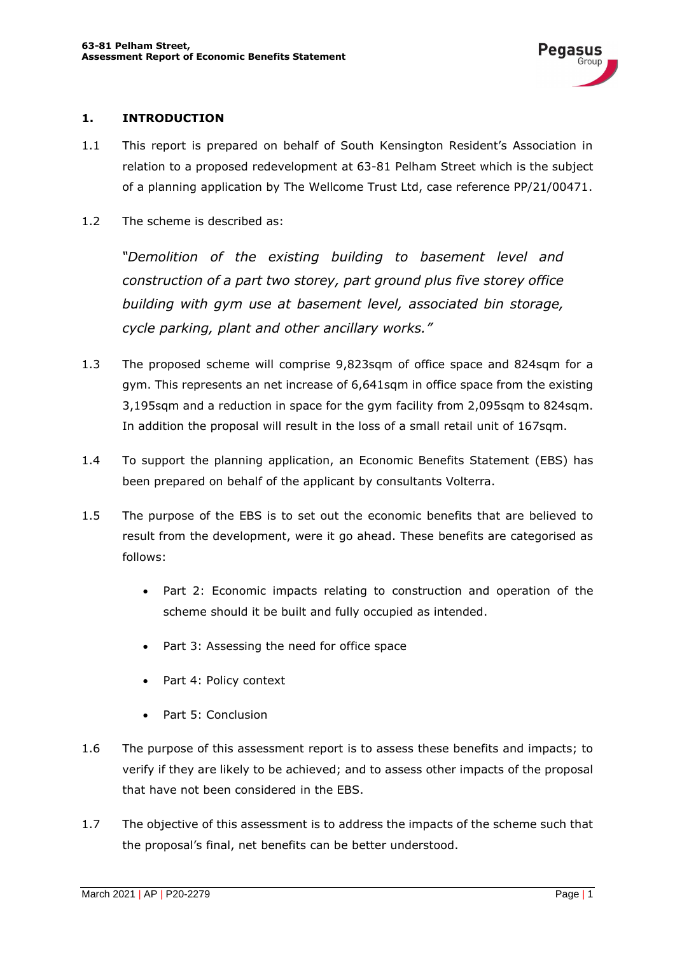#### **1. INTRODUCTION**

- 1.1 This report is prepared on behalf of South Kensington Resident's Association in relation to a proposed redevelopment at 63-81 Pelham Street which is the subject of a planning application by The Wellcome Trust Ltd, case reference PP/21/00471.
- 1.2 The scheme is described as:

*"Demolition of the existing building to basement level and construction of a part two storey, part ground plus five storey office building with gym use at basement level, associated bin storage, cycle parking, plant and other ancillary works."*

- 1.3 The proposed scheme will comprise 9,823sqm of office space and 824sqm for a gym. This represents an net increase of 6,641sqm in office space from the existing 3,195sqm and a reduction in space for the gym facility from 2,095sqm to 824sqm. In addition the proposal will result in the loss of a small retail unit of 167sqm.
- 1.4 To support the planning application, an Economic Benefits Statement (EBS) has been prepared on behalf of the applicant by consultants Volterra.
- 1.5 The purpose of the EBS is to set out the economic benefits that are believed to result from the development, were it go ahead. These benefits are categorised as follows:
	- Part 2: Economic impacts relating to construction and operation of the scheme should it be built and fully occupied as intended.
	- Part 3: Assessing the need for office space
	- Part 4: Policy context
	- Part 5: Conclusion
- 1.6 The purpose of this assessment report is to assess these benefits and impacts; to verify if they are likely to be achieved; and to assess other impacts of the proposal that have not been considered in the EBS.
- 1.7 The objective of this assessment is to address the impacts of the scheme such that the proposal's final, net benefits can be better understood.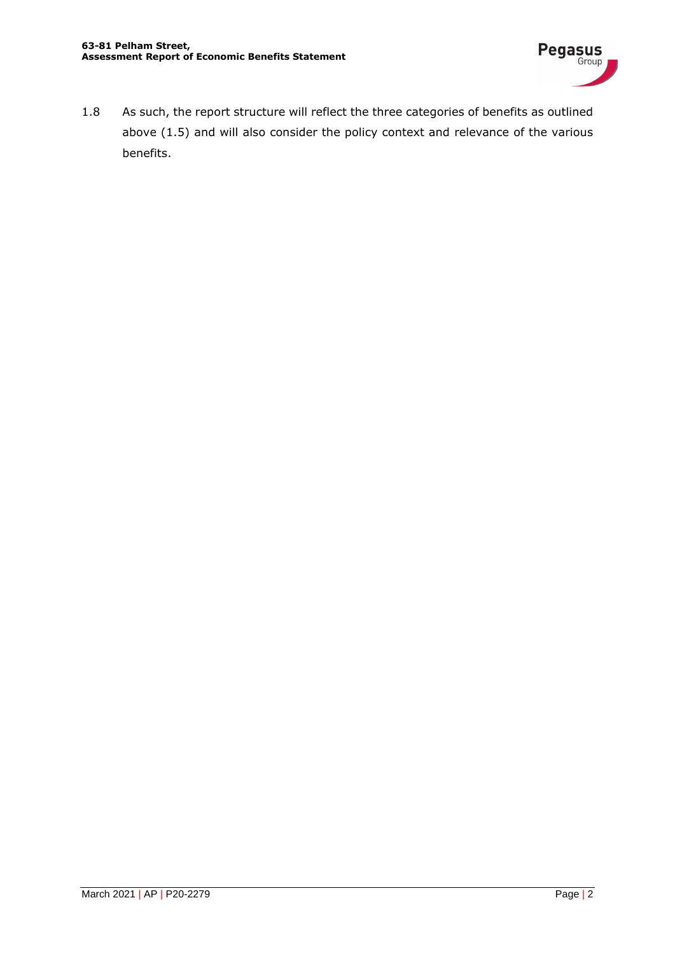

1.8 As such, the report structure will reflect the three categories of benefits as outlined above (1.5) and will also consider the policy context and relevance of the various benefits.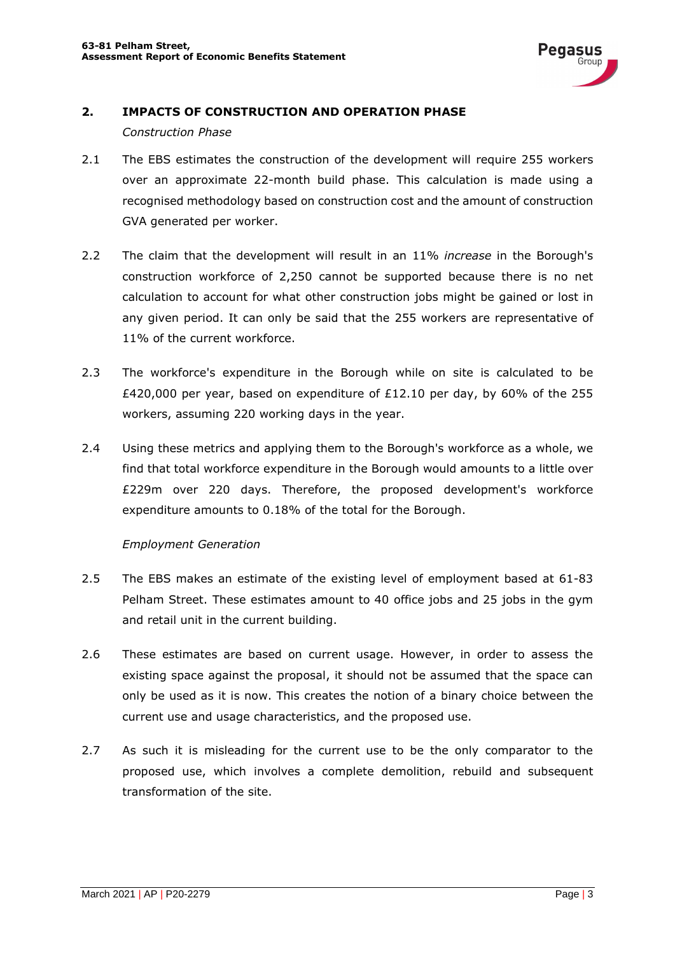

#### **2. IMPACTS OF CONSTRUCTION AND OPERATION PHASE**

#### *Construction Phase*

- 2.1 The EBS estimates the construction of the development will require 255 workers over an approximate 22-month build phase. This calculation is made using a recognised methodology based on construction cost and the amount of construction GVA generated per worker.
- 2.2 The claim that the development will result in an 11% *increase* in the Borough's construction workforce of 2,250 cannot be supported because there is no net calculation to account for what other construction jobs might be gained or lost in any given period. It can only be said that the 255 workers are representative of 11% of the current workforce.
- 2.3 The workforce's expenditure in the Borough while on site is calculated to be £420,000 per year, based on expenditure of £12.10 per day, by 60% of the 255 workers, assuming 220 working days in the year.
- 2.4 Using these metrics and applying them to the Borough's workforce as a whole, we find that total workforce expenditure in the Borough would amounts to a little over £229m over 220 days. Therefore, the proposed development's workforce expenditure amounts to 0.18% of the total for the Borough.

#### *Employment Generation*

- 2.5 The EBS makes an estimate of the existing level of employment based at 61-83 Pelham Street. These estimates amount to 40 office jobs and 25 jobs in the gym and retail unit in the current building.
- 2.6 These estimates are based on current usage. However, in order to assess the existing space against the proposal, it should not be assumed that the space can only be used as it is now. This creates the notion of a binary choice between the current use and usage characteristics, and the proposed use.
- 2.7 As such it is misleading for the current use to be the only comparator to the proposed use, which involves a complete demolition, rebuild and subsequent transformation of the site.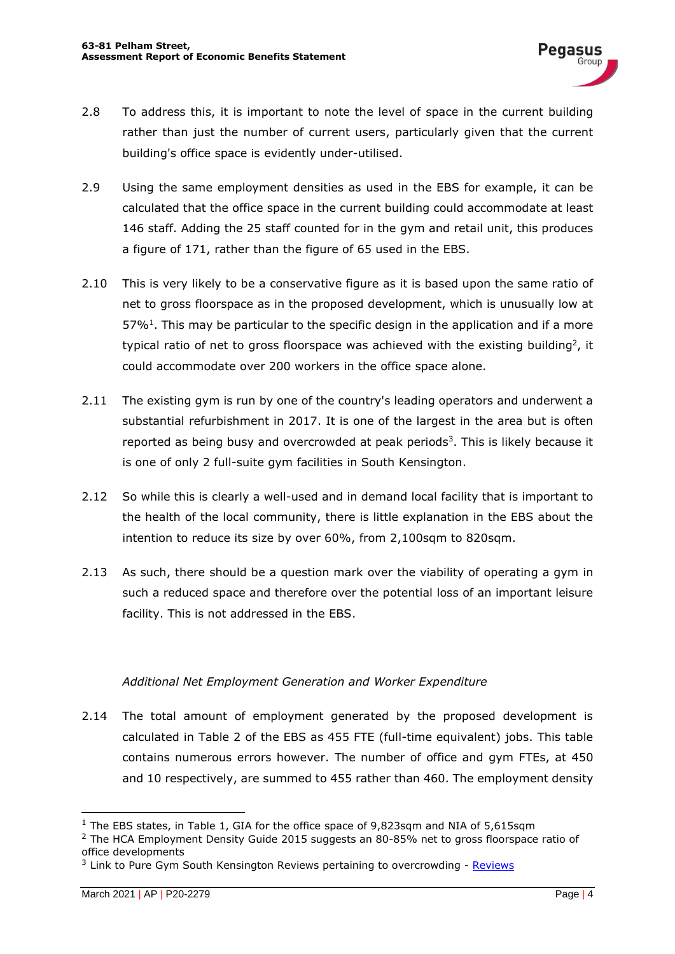- 2.8 To address this, it is important to note the level of space in the current building rather than just the number of current users, particularly given that the current building's office space is evidently under-utilised.
- 2.9 Using the same employment densities as used in the EBS for example, it can be calculated that the office space in the current building could accommodate at least 146 staff. Adding the 25 staff counted for in the gym and retail unit, this produces a figure of 171, rather than the figure of 65 used in the EBS.
- 2.10 This is very likely to be a conservative figure as it is based upon the same ratio of net to gross floorspace as in the proposed development, which is unusually low at  $57\%$ <sup>1</sup>. This may be particular to the specific design in the application and if a more typical ratio of net to gross floorspace was achieved with the existing building<sup>2</sup>, it could accommodate over 200 workers in the office space alone.
- 2.11 The existing gym is run by one of the country's leading operators and underwent a substantial refurbishment in 2017. It is one of the largest in the area but is often reported as being busy and overcrowded at peak periods<sup>3</sup>. This is likely because it is one of only 2 full-suite gym facilities in South Kensington.
- 2.12 So while this is clearly a well-used and in demand local facility that is important to the health of the local community, there is little explanation in the EBS about the intention to reduce its size by over 60%, from 2,100sqm to 820sqm.
- 2.13 As such, there should be a question mark over the viability of operating a gym in such a reduced space and therefore over the potential loss of an important leisure facility. This is not addressed in the EBS.

#### *Additional Net Employment Generation and Worker Expenditure*

2.14 The total amount of employment generated by the proposed development is calculated in Table 2 of the EBS as 455 FTE (full-time equivalent) jobs. This table contains numerous errors however. The number of office and gym FTEs, at 450 and 10 respectively, are summed to 455 rather than 460. The employment density

 $1$  The EBS states, in Table 1, GIA for the office space of 9,823sqm and NIA of 5.615sqm

<sup>&</sup>lt;sup>2</sup> The HCA Employment Density Guide 2015 suggests an 80-85% net to gross floorspace ratio of office developments

 $3$  Link to Pure Gym South Kensington Reviews pertaining to overcrowding - Reviews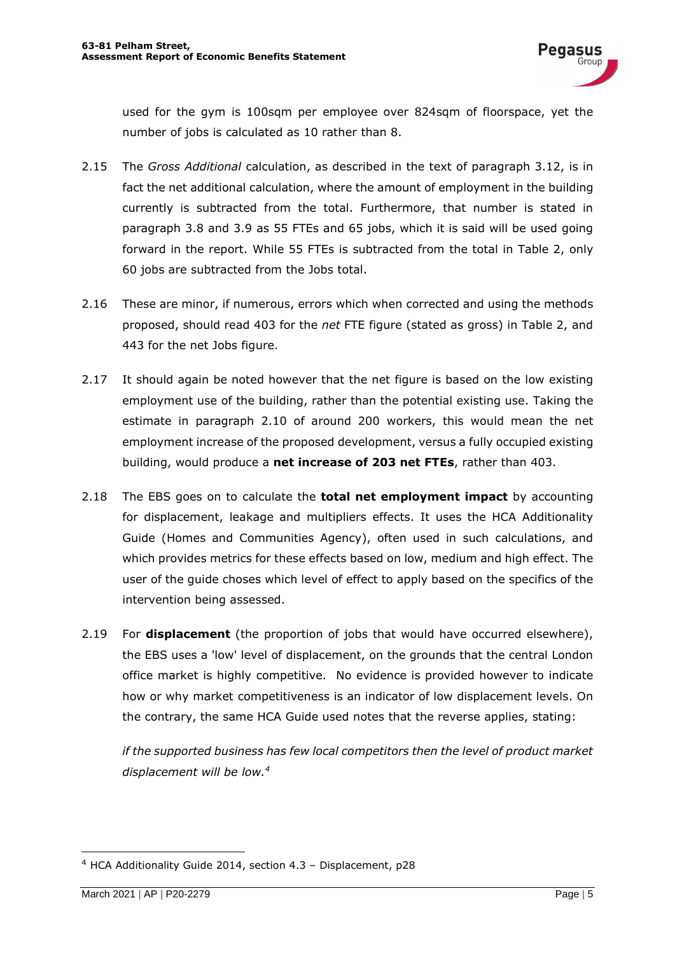used for the gym is 100sqm per employee over 824sqm of floorspace, yet the number of jobs is calculated as 10 rather than 8.

- 2.15 The *Gross Additional* calculation, as described in the text of paragraph 3.12, is in fact the net additional calculation, where the amount of employment in the building currently is subtracted from the total. Furthermore, that number is stated in paragraph 3.8 and 3.9 as 55 FTEs and 65 jobs, which it is said will be used going forward in the report. While 55 FTEs is subtracted from the total in Table 2, only 60 jobs are subtracted from the Jobs total.
- 2.16 These are minor, if numerous, errors which when corrected and using the methods proposed, should read 403 for the *net* FTE figure (stated as gross) in Table 2, and 443 for the net Jobs figure.
- 2.17 It should again be noted however that the net figure is based on the low existing employment use of the building, rather than the potential existing use. Taking the estimate in paragraph 2.10 of around 200 workers, this would mean the net employment increase of the proposed development, versus a fully occupied existing building, would produce a **net increase of 203 net FTEs**, rather than 403.
- 2.18 The EBS goes on to calculate the **total net employment impact** by accounting for displacement, leakage and multipliers effects. It uses the HCA Additionality Guide (Homes and Communities Agency), often used in such calculations, and which provides metrics for these effects based on low, medium and high effect. The user of the guide choses which level of effect to apply based on the specifics of the intervention being assessed.
- 2.19 For **displacement** (the proportion of jobs that would have occurred elsewhere), the EBS uses a 'low' level of displacement, on the grounds that the central London office market is highly competitive. No evidence is provided however to indicate how or why market competitiveness is an indicator of low displacement levels. On the contrary, the same HCA Guide used notes that the reverse applies, stating:

*if the supported business has few local competitors then the level of product market displacement will be low.<sup>4</sup>*

<sup>4</sup> HCA Additionality Guide 2014, section 4.3 – Displacement, p28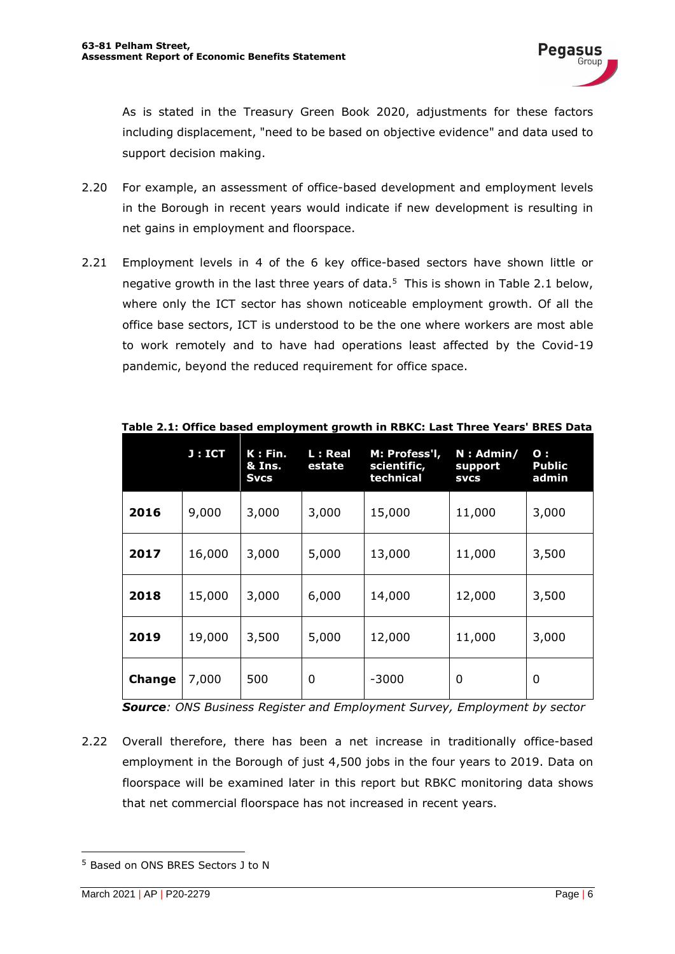As is stated in the Treasury Green Book 2020, adjustments for these factors including displacement, "need to be based on objective evidence" and data used to support decision making.

- 2.20 For example, an assessment of office-based development and employment levels in the Borough in recent years would indicate if new development is resulting in net gains in employment and floorspace.
- 2.21 Employment levels in 4 of the 6 key office-based sectors have shown little or negative growth in the last three years of data. <sup>5</sup> This is shown in Table 2.1 below, where only the ICT sector has shown noticeable employment growth. Of all the office base sectors, ICT is understood to be the one where workers are most able to work remotely and to have had operations least affected by the Covid-19 pandemic, beyond the reduced requirement for office space.

|        | J : ICT | K: Fin.<br>& Ins.<br><b>Svcs</b> | L: Real<br>estate | M: Profess'l,<br>scientific,<br>technical | $N:$ Admin/<br>support<br><b>SVCS</b> | $\mathbf{o}$ :<br><b>Public</b><br>admin |
|--------|---------|----------------------------------|-------------------|-------------------------------------------|---------------------------------------|------------------------------------------|
| 2016   | 9,000   | 3,000                            | 3,000             | 15,000                                    | 11,000                                | 3,000                                    |
| 2017   | 16,000  | 3,000                            | 5,000             | 13,000                                    | 11,000                                | 3,500                                    |
| 2018   | 15,000  | 3,000                            | 6,000             | 14,000                                    | 12,000                                | 3,500                                    |
| 2019   | 19,000  | 3,500                            | 5,000             | 12,000                                    | 11,000                                | 3,000                                    |
| Change | 7,000   | 500                              | 0                 | $-3000$                                   | 0                                     | 0                                        |

**Table 2.1: Office based employment growth in RBKC: Last Three Years' BRES Data**

*Source: ONS Business Register and Employment Survey, Employment by sector*

2.22 Overall therefore, there has been a net increase in traditionally office-based employment in the Borough of just 4,500 jobs in the four years to 2019. Data on floorspace will be examined later in this report but RBKC monitoring data shows that net commercial floorspace has not increased in recent years.

<sup>5</sup> Based on ONS BRES Sectors J to N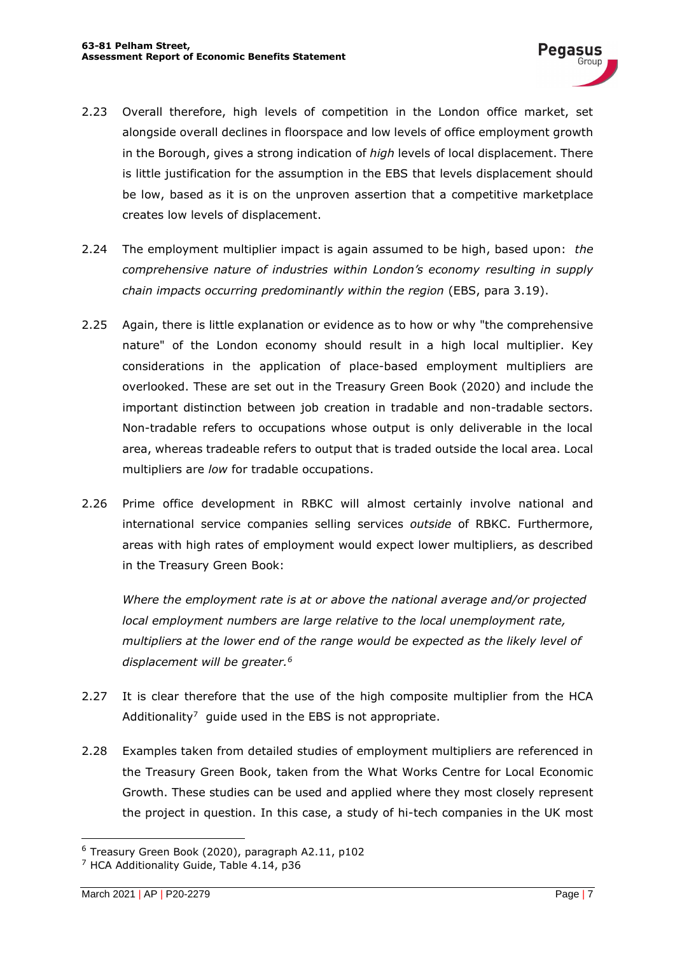- 2.23 Overall therefore, high levels of competition in the London office market, set alongside overall declines in floorspace and low levels of office employment growth in the Borough, gives a strong indication of *high* levels of local displacement. There is little justification for the assumption in the EBS that levels displacement should be low, based as it is on the unproven assertion that a competitive marketplace creates low levels of displacement.
- 2.24 The employment multiplier impact is again assumed to be high, based upon: *the comprehensive nature of industries within London's economy resulting in supply chain impacts occurring predominantly within the region* (EBS, para 3.19).
- 2.25 Again, there is little explanation or evidence as to how or why "the comprehensive nature" of the London economy should result in a high local multiplier. Key considerations in the application of place-based employment multipliers are overlooked. These are set out in the Treasury Green Book (2020) and include the important distinction between job creation in tradable and non-tradable sectors. Non-tradable refers to occupations whose output is only deliverable in the local area, whereas tradeable refers to output that is traded outside the local area. Local multipliers are *low* for tradable occupations.
- 2.26 Prime office development in RBKC will almost certainly involve national and international service companies selling services *outside* of RBKC. Furthermore, areas with high rates of employment would expect lower multipliers, as described in the Treasury Green Book:

*Where the employment rate is at or above the national average and/or projected local employment numbers are large relative to the local unemployment rate, multipliers at the lower end of the range would be expected as the likely level of displacement will be greater.<sup>6</sup>*

- 2.27 It is clear therefore that the use of the high composite multiplier from the HCA Additionality<sup>7</sup> quide used in the EBS is not appropriate.
- 2.28 Examples taken from detailed studies of employment multipliers are referenced in the Treasury Green Book, taken from the What Works Centre for Local Economic Growth. These studies can be used and applied where they most closely represent the project in question. In this case, a study of hi-tech companies in the UK most

<sup>6</sup> Treasury Green Book (2020), paragraph A2.11, p102

<sup>&</sup>lt;sup>7</sup> HCA Additionality Guide, Table 4.14, p36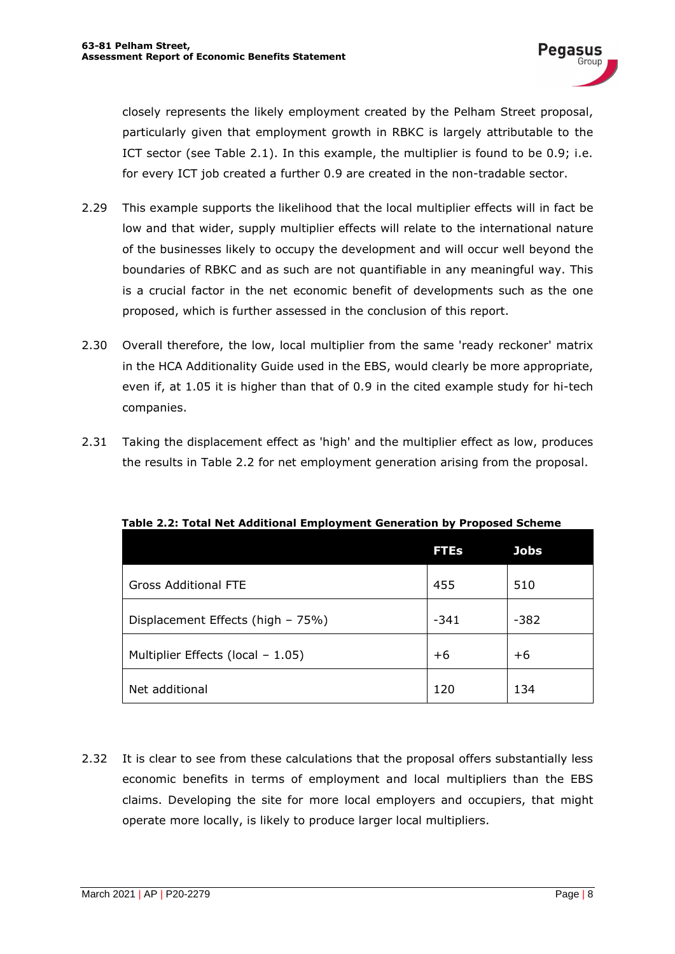closely represents the likely employment created by the Pelham Street proposal, particularly given that employment growth in RBKC is largely attributable to the ICT sector (see Table 2.1). In this example, the multiplier is found to be 0.9; i.e. for every ICT job created a further 0.9 are created in the non-tradable sector.

- 2.29 This example supports the likelihood that the local multiplier effects will in fact be low and that wider, supply multiplier effects will relate to the international nature of the businesses likely to occupy the development and will occur well beyond the boundaries of RBKC and as such are not quantifiable in any meaningful way. This is a crucial factor in the net economic benefit of developments such as the one proposed, which is further assessed in the conclusion of this report.
- 2.30 Overall therefore, the low, local multiplier from the same 'ready reckoner' matrix in the HCA Additionality Guide used in the EBS, would clearly be more appropriate, even if, at 1.05 it is higher than that of 0.9 in the cited example study for hi-tech companies.
- 2.31 Taking the displacement effect as 'high' and the multiplier effect as low, produces the results in Table 2.2 for net employment generation arising from the proposal.

|                                   | <b>FTEs</b> | <b>Jobs</b> |
|-----------------------------------|-------------|-------------|
| <b>Gross Additional FTE</b>       | 455         | 510         |
| Displacement Effects (high - 75%) | $-341$      | $-382$      |
| Multiplier Effects (local - 1.05) | $+6$        | $+6$        |
| Net additional                    | 120         | 134         |

**Table 2.2: Total Net Additional Employment Generation by Proposed Scheme**

2.32 It is clear to see from these calculations that the proposal offers substantially less economic benefits in terms of employment and local multipliers than the EBS claims. Developing the site for more local employers and occupiers, that might operate more locally, is likely to produce larger local multipliers.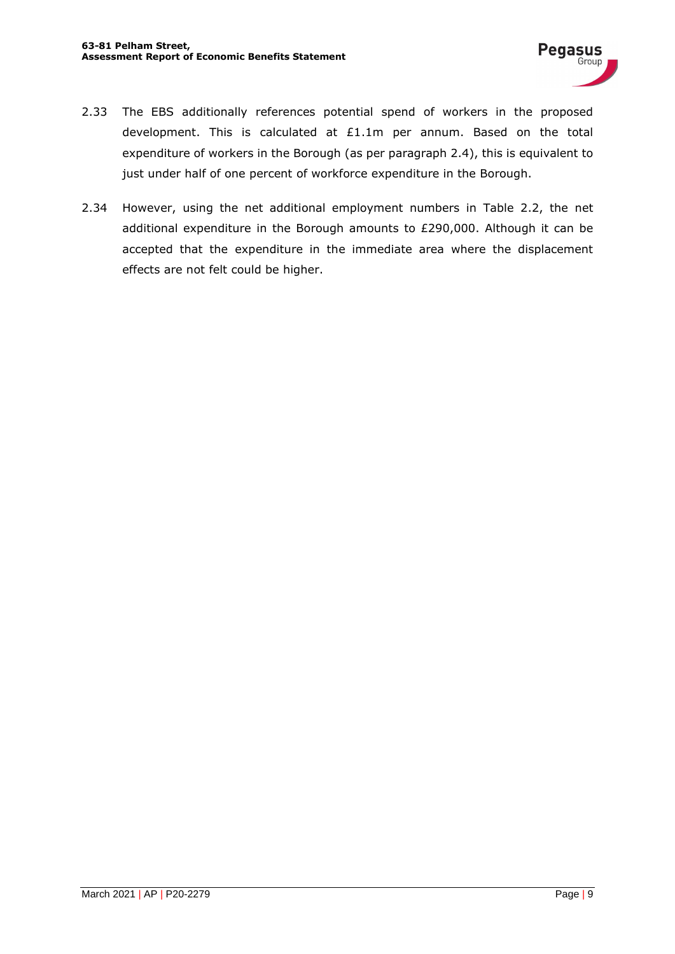- 2.33 The EBS additionally references potential spend of workers in the proposed development. This is calculated at £1.1m per annum. Based on the total expenditure of workers in the Borough (as per paragraph 2.4), this is equivalent to just under half of one percent of workforce expenditure in the Borough.
- 2.34 However, using the net additional employment numbers in Table 2.2, the net additional expenditure in the Borough amounts to £290,000. Although it can be accepted that the expenditure in the immediate area where the displacement effects are not felt could be higher.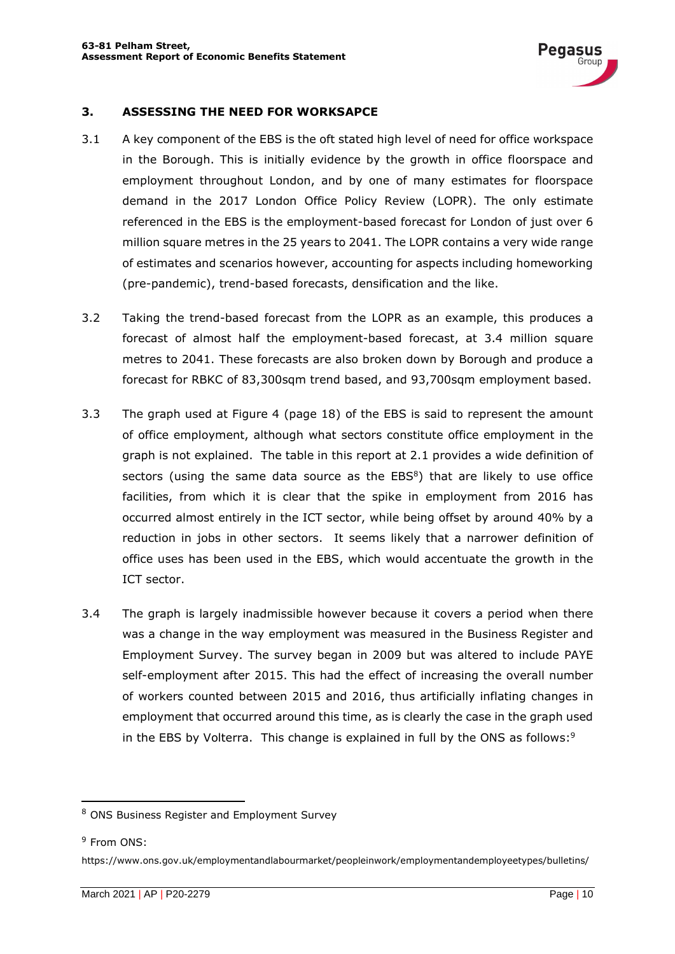

#### **3. ASSESSING THE NEED FOR WORKSAPCE**

- 3.1 A key component of the EBS is the oft stated high level of need for office workspace in the Borough. This is initially evidence by the growth in office floorspace and employment throughout London, and by one of many estimates for floorspace demand in the 2017 London Office Policy Review (LOPR). The only estimate referenced in the EBS is the employment-based forecast for London of just over 6 million square metres in the 25 years to 2041. The LOPR contains a very wide range of estimates and scenarios however, accounting for aspects including homeworking (pre-pandemic), trend-based forecasts, densification and the like.
- 3.2 Taking the trend-based forecast from the LOPR as an example, this produces a forecast of almost half the employment-based forecast, at 3.4 million square metres to 2041. These forecasts are also broken down by Borough and produce a forecast for RBKC of 83,300sqm trend based, and 93,700sqm employment based.
- 3.3 The graph used at Figure 4 (page 18) of the EBS is said to represent the amount of office employment, although what sectors constitute office employment in the graph is not explained. The table in this report at 2.1 provides a wide definition of sectors (using the same data source as the  $EBS<sup>8</sup>$ ) that are likely to use office facilities, from which it is clear that the spike in employment from 2016 has occurred almost entirely in the ICT sector, while being offset by around 40% by a reduction in jobs in other sectors. It seems likely that a narrower definition of office uses has been used in the EBS, which would accentuate the growth in the ICT sector.
- 3.4 The graph is largely inadmissible however because it covers a period when there was a change in the way employment was measured in the Business Register and Employment Survey. The survey began in 2009 but was altered to include PAYE self-employment after 2015. This had the effect of increasing the overall number of workers counted between 2015 and 2016, thus artificially inflating changes in employment that occurred around this time, as is clearly the case in the graph used in the EBS by Volterra. This change is explained in full by the ONS as follows:<sup>9</sup>

<sup>8</sup> ONS Business Register and Employment Survey

<sup>&</sup>lt;sup>9</sup> From ONS:

https://www.ons.gov.uk/employmentandlabourmarket/peopleinwork/employmentandemployeetypes/bulletins/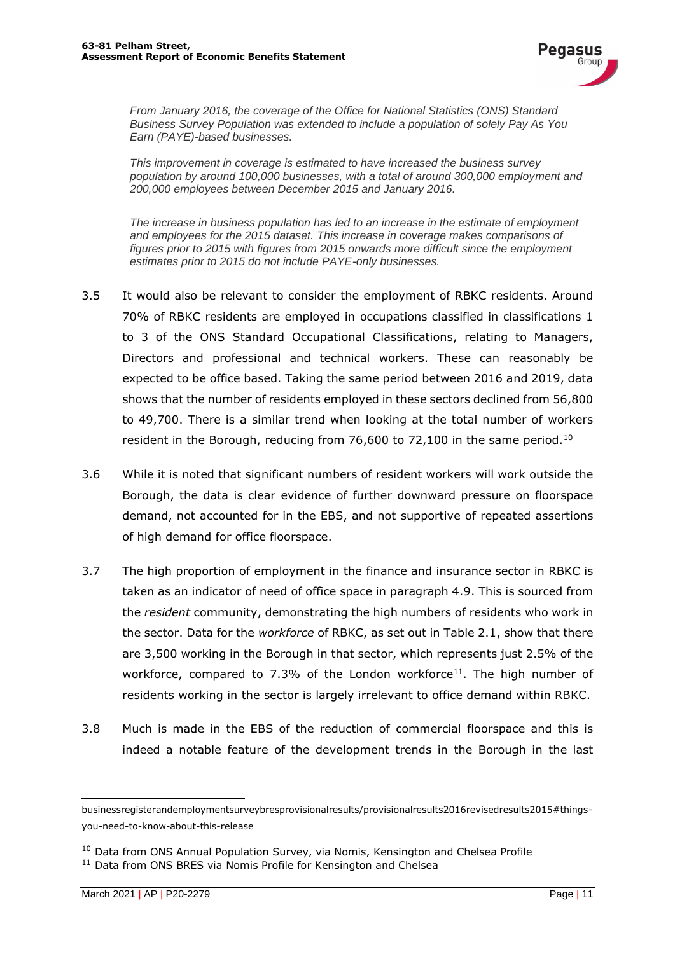

*From January 2016, the coverage of the Office for National Statistics (ONS) Standard Business Survey Population was extended to include a population of solely Pay As You Earn (PAYE)-based businesses.* 

*This improvement in coverage is estimated to have increased the business survey population by around 100,000 businesses, with a total of around 300,000 employment and 200,000 employees between December 2015 and January 2016.* 

*The increase in business population has led to an increase in the estimate of employment and employees for the 2015 dataset. This increase in coverage makes comparisons of figures prior to 2015 with figures from 2015 onwards more difficult since the employment estimates prior to 2015 do not include PAYE-only businesses.*

- 3.5 It would also be relevant to consider the employment of RBKC residents. Around 70% of RBKC residents are employed in occupations classified in classifications 1 to 3 of the ONS Standard Occupational Classifications, relating to Managers, Directors and professional and technical workers. These can reasonably be expected to be office based. Taking the same period between 2016 and 2019, data shows that the number of residents employed in these sectors declined from 56,800 to 49,700. There is a similar trend when looking at the total number of workers resident in the Borough, reducing from 76,600 to 72,100 in the same period.<sup>10</sup>
- 3.6 While it is noted that significant numbers of resident workers will work outside the Borough, the data is clear evidence of further downward pressure on floorspace demand, not accounted for in the EBS, and not supportive of repeated assertions of high demand for office floorspace.
- 3.7 The high proportion of employment in the finance and insurance sector in RBKC is taken as an indicator of need of office space in paragraph 4.9. This is sourced from the *resident* community, demonstrating the high numbers of residents who work in the sector. Data for the *workforce* of RBKC, as set out in Table 2.1, show that there are 3,500 working in the Borough in that sector, which represents just 2.5% of the workforce, compared to 7.3% of the London workforce<sup>11</sup>. The high number of residents working in the sector is largely irrelevant to office demand within RBKC.
- 3.8 Much is made in the EBS of the reduction of commercial floorspace and this is indeed a notable feature of the development trends in the Borough in the last

businessregisterandemploymentsurveybresprovisionalresults/provisionalresults2016revisedresults2015#thingsyou-need-to-know-about-this-release

<sup>&</sup>lt;sup>10</sup> Data from ONS Annual Population Survey, via Nomis, Kensington and Chelsea Profile

<sup>&</sup>lt;sup>11</sup> Data from ONS BRES via Nomis Profile for Kensington and Chelsea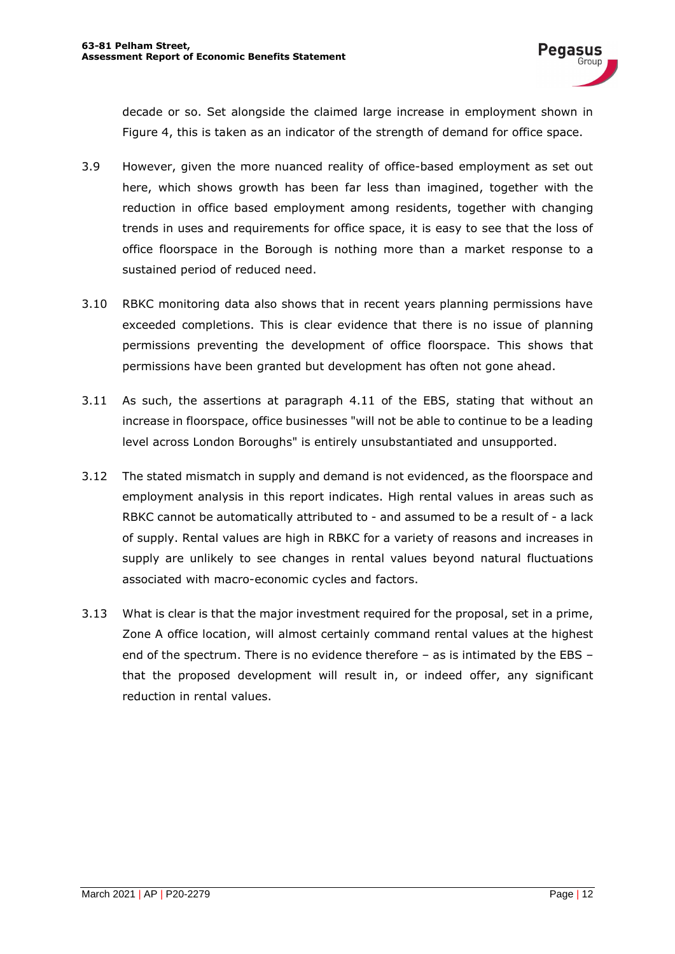decade or so. Set alongside the claimed large increase in employment shown in Figure 4, this is taken as an indicator of the strength of demand for office space.

- 3.9 However, given the more nuanced reality of office-based employment as set out here, which shows growth has been far less than imagined, together with the reduction in office based employment among residents, together with changing trends in uses and requirements for office space, it is easy to see that the loss of office floorspace in the Borough is nothing more than a market response to a sustained period of reduced need.
- 3.10 RBKC monitoring data also shows that in recent years planning permissions have exceeded completions. This is clear evidence that there is no issue of planning permissions preventing the development of office floorspace. This shows that permissions have been granted but development has often not gone ahead.
- 3.11 As such, the assertions at paragraph 4.11 of the EBS, stating that without an increase in floorspace, office businesses "will not be able to continue to be a leading level across London Boroughs" is entirely unsubstantiated and unsupported.
- 3.12 The stated mismatch in supply and demand is not evidenced, as the floorspace and employment analysis in this report indicates. High rental values in areas such as RBKC cannot be automatically attributed to - and assumed to be a result of - a lack of supply. Rental values are high in RBKC for a variety of reasons and increases in supply are unlikely to see changes in rental values beyond natural fluctuations associated with macro-economic cycles and factors.
- 3.13 What is clear is that the major investment required for the proposal, set in a prime, Zone A office location, will almost certainly command rental values at the highest end of the spectrum. There is no evidence therefore – as is intimated by the EBS – that the proposed development will result in, or indeed offer, any significant reduction in rental values.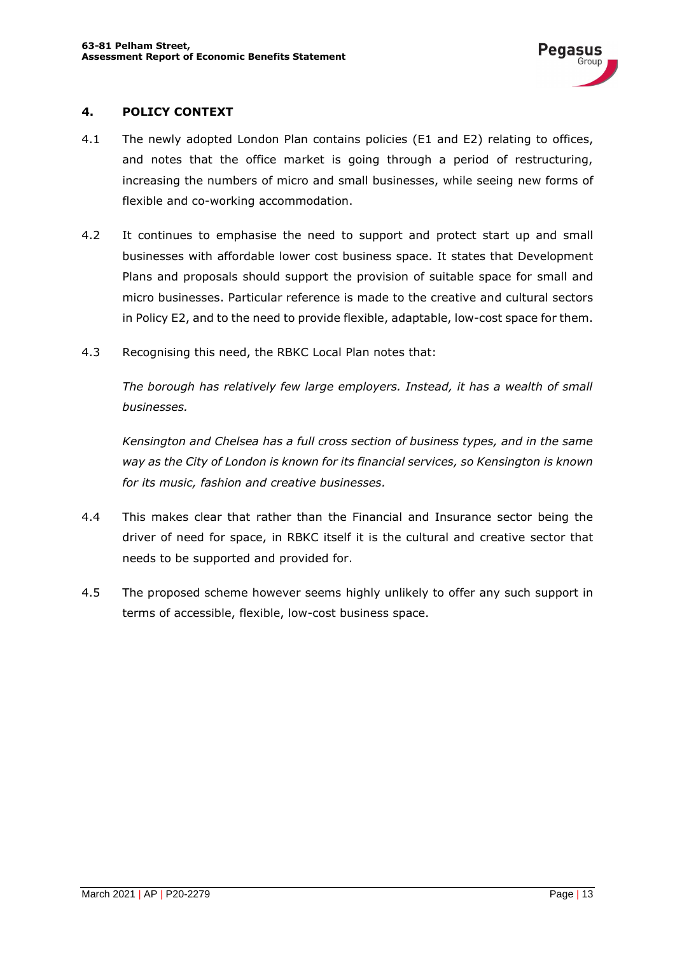#### **4. POLICY CONTEXT**

- 4.1 The newly adopted London Plan contains policies (E1 and E2) relating to offices, and notes that the office market is going through a period of restructuring, increasing the numbers of micro and small businesses, while seeing new forms of flexible and co-working accommodation.
- 4.2 It continues to emphasise the need to support and protect start up and small businesses with affordable lower cost business space. It states that Development Plans and proposals should support the provision of suitable space for small and micro businesses. Particular reference is made to the creative and cultural sectors in Policy E2, and to the need to provide flexible, adaptable, low-cost space for them.
- 4.3 Recognising this need, the RBKC Local Plan notes that:

*The borough has relatively few large employers. Instead, it has a wealth of small businesses.*

*Kensington and Chelsea has a full cross section of business types, and in the same way as the City of London is known for its financial services, so Kensington is known for its music, fashion and creative businesses.*

- 4.4 This makes clear that rather than the Financial and Insurance sector being the driver of need for space, in RBKC itself it is the cultural and creative sector that needs to be supported and provided for.
- 4.5 The proposed scheme however seems highly unlikely to offer any such support in terms of accessible, flexible, low-cost business space.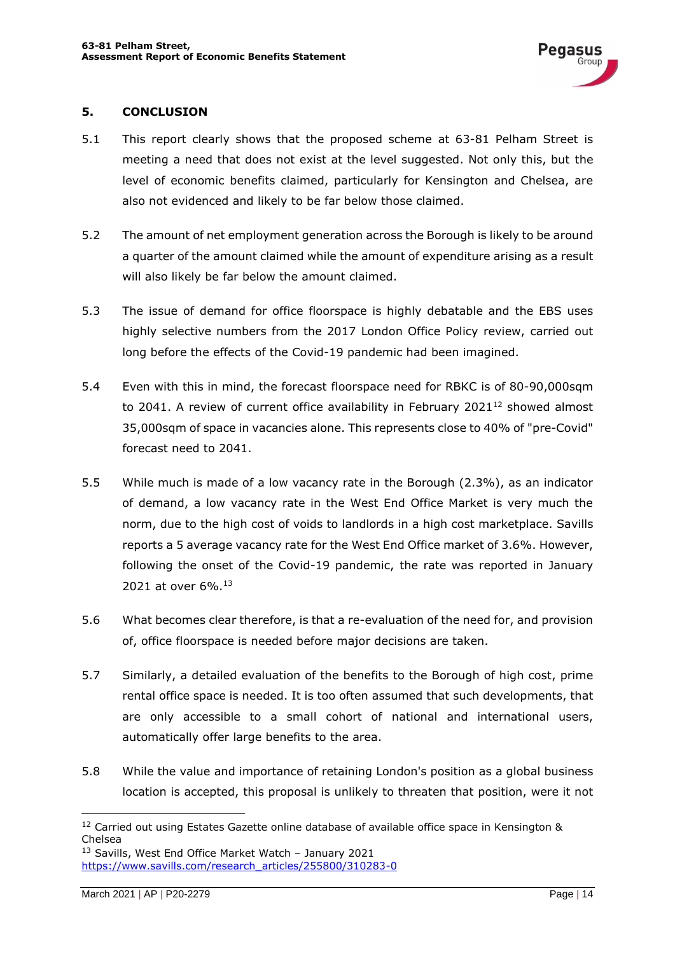#### **5. CONCLUSION**

- 5.1 This report clearly shows that the proposed scheme at 63-81 Pelham Street is meeting a need that does not exist at the level suggested. Not only this, but the level of economic benefits claimed, particularly for Kensington and Chelsea, are also not evidenced and likely to be far below those claimed.
- 5.2 The amount of net employment generation across the Borough is likely to be around a quarter of the amount claimed while the amount of expenditure arising as a result will also likely be far below the amount claimed.
- 5.3 The issue of demand for office floorspace is highly debatable and the EBS uses highly selective numbers from the 2017 London Office Policy review, carried out long before the effects of the Covid-19 pandemic had been imagined.
- 5.4 Even with this in mind, the forecast floorspace need for RBKC is of 80-90,000sqm to 2041. A review of current office availability in February 2021 $^{12}$  showed almost 35,000sqm of space in vacancies alone. This represents close to 40% of "pre-Covid" forecast need to 2041.
- 5.5 While much is made of a low vacancy rate in the Borough (2.3%), as an indicator of demand, a low vacancy rate in the West End Office Market is very much the norm, due to the high cost of voids to landlords in a high cost marketplace. Savills reports a 5 average vacancy rate for the West End Office market of 3.6%. However, following the onset of the Covid-19 pandemic, the rate was reported in January 2021 at over 6%.<sup>13</sup>
- 5.6 What becomes clear therefore, is that a re-evaluation of the need for, and provision of, office floorspace is needed before major decisions are taken.
- 5.7 Similarly, a detailed evaluation of the benefits to the Borough of high cost, prime rental office space is needed. It is too often assumed that such developments, that are only accessible to a small cohort of national and international users, automatically offer large benefits to the area.
- 5.8 While the value and importance of retaining London's position as a global business location is accepted, this proposal is unlikely to threaten that position, were it not

<sup>&</sup>lt;sup>12</sup> Carried out using Estates Gazette online database of available office space in Kensington & Chelsea

 $13$  Savills, West End Office Market Watch - January 2021 https://www.savills.com/research\_articles/255800/310283-0